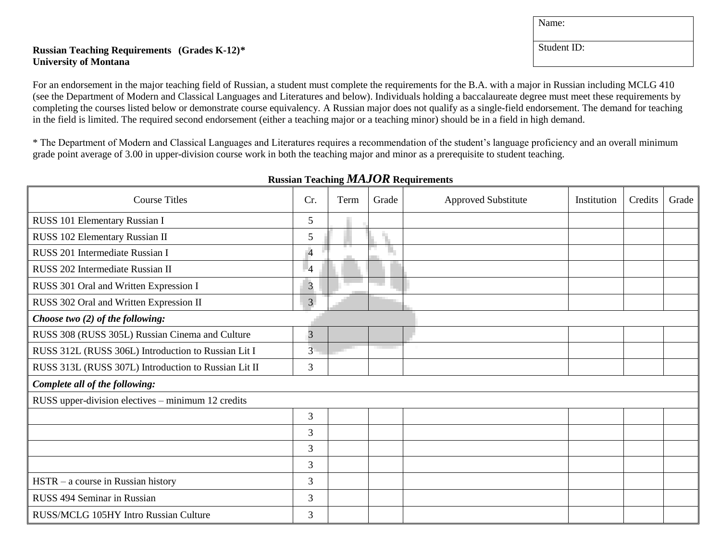## **Russian Teaching Requirements (Grades K-12)\* University of Montana**

For an endorsement in the major teaching field of Russian, a student must complete the requirements for the B.A. with a major in Russian including MCLG 410 (see the Department of Modern and Classical Languages and Literatures and below). Individuals holding a baccalaureate degree must meet these requirements by completing the courses listed below or demonstrate course equivalency. A Russian major does not qualify as a single-field endorsement. The demand for teaching in the field is limited. The required second endorsement (either a teaching major or a teaching minor) should be in a field in high demand.

\* The Department of Modern and Classical Languages and Literatures requires a recommendation of the student's language proficiency and an overall minimum grade point average of 3.00 in upper-division course work in both the teaching major and minor as a prerequisite to student teaching.

| <b>Course Titles</b>                                 | Cr.            | Term | Grade | <b>Approved Substitute</b> | Institution | Credits | Grade |
|------------------------------------------------------|----------------|------|-------|----------------------------|-------------|---------|-------|
| RUSS 101 Elementary Russian I                        | 5              |      |       |                            |             |         |       |
| RUSS 102 Elementary Russian II                       | 5              |      |       |                            |             |         |       |
| RUSS 201 Intermediate Russian I                      | $\overline{4}$ |      | n.    |                            |             |         |       |
| RUSS 202 Intermediate Russian II                     | $\overline{4}$ |      |       |                            |             |         |       |
| RUSS 301 Oral and Written Expression I               | $\mathfrak{Z}$ |      |       |                            |             |         |       |
| RUSS 302 Oral and Written Expression II              | $\overline{3}$ |      |       |                            |             |         |       |
| Choose two (2) of the following:                     |                |      |       |                            |             |         |       |
| RUSS 308 (RUSS 305L) Russian Cinema and Culture      | 3              |      |       |                            |             |         |       |
| RUSS 312L (RUSS 306L) Introduction to Russian Lit I  | $\overline{3}$ |      |       |                            |             |         |       |
| RUSS 313L (RUSS 307L) Introduction to Russian Lit II | 3              |      |       |                            |             |         |       |
| Complete all of the following:                       |                |      |       |                            |             |         |       |
| RUSS upper-division electives – minimum 12 credits   |                |      |       |                            |             |         |       |
|                                                      | 3              |      |       |                            |             |         |       |
|                                                      | 3              |      |       |                            |             |         |       |
|                                                      | 3              |      |       |                            |             |         |       |
|                                                      | 3              |      |       |                            |             |         |       |
| $HSTR - a course$ in Russian history                 | 3              |      |       |                            |             |         |       |
| RUSS 494 Seminar in Russian                          | 3              |      |       |                            |             |         |       |
| RUSS/MCLG 105HY Intro Russian Culture                | 3              |      |       |                            |             |         |       |

**Russian Teaching** *MAJOR* **Requirements**

Student ID:

Name: